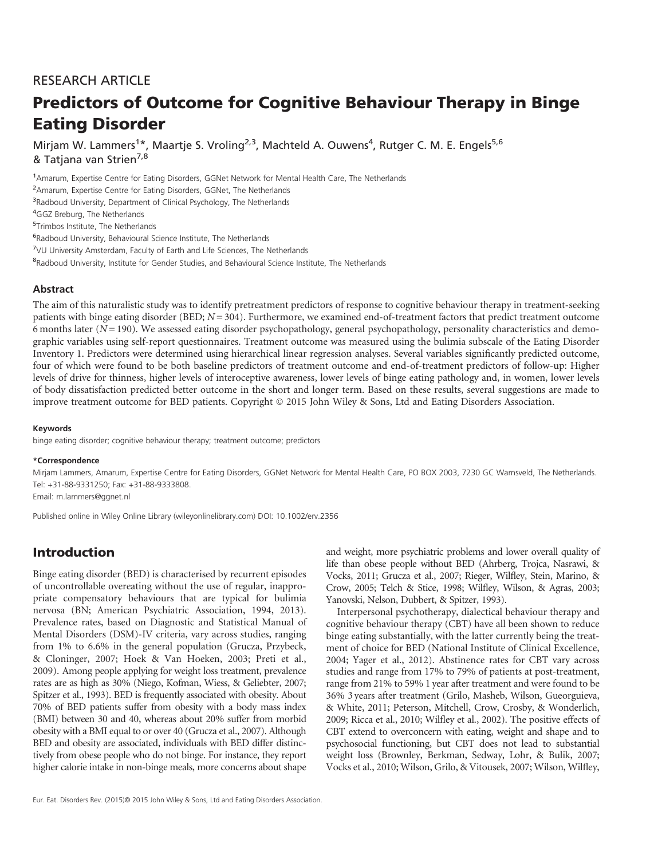# RESEARCH ARTICLE

# Predictors of Outcome for Cognitive Behaviour Therapy in Binge Eating Disorder

Mirjam W. Lammers<sup>1\*</sup>, Maartje S. Vroling<sup>2,3</sup>, Machteld A. Ouwens<sup>4</sup>, Rutger C. M. E. Engels<sup>5,6</sup> & Tatjana van Strien<sup>7,8</sup>

1 Amarum, Expertise Centre for Eating Disorders, GGNet Network for Mental Health Care, The Netherlands

<sup>2</sup> Amarum, Expertise Centre for Eating Disorders, GGNet, The Netherlands

<sup>3</sup>Radboud University, Department of Clinical Psychology, The Netherlands

<sup>4</sup>GGZ Breburg, The Netherlands

5 Trimbos Institute, The Netherlands

6 Radboud University, Behavioural Science Institute, The Netherlands

<sup>7</sup>VU University Amsterdam, Faculty of Earth and Life Sciences, The Netherlands

<sup>8</sup>Radboud University, Institute for Gender Studies, and Behavioural Science Institute, The Netherlands

#### **Abstract**

The aim of this naturalistic study was to identify pretreatment predictors of response to cognitive behaviour therapy in treatment-seeking patients with binge eating disorder (BED;  $N = 304$ ). Furthermore, we examined end-of-treatment factors that predict treatment outcome 6 months later  $(N=190)$ . We assessed eating disorder psychopathology, general psychopathology, personality characteristics and demographic variables using self-report questionnaires. Treatment outcome was measured using the bulimia subscale of the Eating Disorder Inventory 1. Predictors were determined using hierarchical linear regression analyses. Several variables significantly predicted outcome, four of which were found to be both baseline predictors of treatment outcome and end-of-treatment predictors of follow-up: Higher levels of drive for thinness, higher levels of interoceptive awareness, lower levels of binge eating pathology and, in women, lower levels of body dissatisfaction predicted better outcome in the short and longer term. Based on these results, several suggestions are made to improve treatment outcome for BED patients. Copyright © 2015 John Wiley & Sons, Ltd and Eating Disorders Association.

#### Keywords

binge eating disorder; cognitive behaviour therapy; treatment outcome; predictors

#### \*Correspondence

Mirjam Lammers, Amarum, Expertise Centre for Eating Disorders, GGNet Network for Mental Health Care, PO BOX 2003, 7230 GC Warnsveld, The Netherlands. Tel: +31-88-9331250; Fax: +31-88-9333808. Email: m.lammers@ggnet.nl

Published online in Wiley Online Library (wileyonlinelibrary.com) DOI: 10.1002/erv.2356

# Introduction

Binge eating disorder (BED) is characterised by recurrent episodes of uncontrollable overeating without the use of regular, inappropriate compensatory behaviours that are typical for bulimia nervosa (BN; American Psychiatric Association, 1994, 2013). Prevalence rates, based on Diagnostic and Statistical Manual of Mental Disorders (DSM)-IV criteria, vary across studies, ranging from 1% to 6.6% in the general population (Grucza, Przybeck, & Cloninger, 2007; Hoek & Van Hoeken, 2003; Preti et al., 2009). Among people applying for weight loss treatment, prevalence rates are as high as 30% (Niego, Kofman, Wiess, & Geliebter, 2007; Spitzer et al., 1993). BED is frequently associated with obesity. About 70% of BED patients suffer from obesity with a body mass index (BMI) between 30 and 40, whereas about 20% suffer from morbid obesity with a BMI equal to or over 40 (Grucza et al., 2007). Although BED and obesity are associated, individuals with BED differ distinctively from obese people who do not binge. For instance, they report higher calorie intake in non-binge meals, more concerns about shape

and weight, more psychiatric problems and lower overall quality of life than obese people without BED (Ahrberg, Trojca, Nasrawi, & Vocks, 2011; Grucza et al., 2007; Rieger, Wilfley, Stein, Marino, & Crow, 2005; Telch & Stice, 1998; Wilfley, Wilson, & Agras, 2003; Yanovski, Nelson, Dubbert, & Spitzer, 1993).

Interpersonal psychotherapy, dialectical behaviour therapy and cognitive behaviour therapy (CBT) have all been shown to reduce binge eating substantially, with the latter currently being the treatment of choice for BED (National Institute of Clinical Excellence, 2004; Yager et al., 2012). Abstinence rates for CBT vary across studies and range from 17% to 79% of patients at post-treatment, range from 21% to 59% 1 year after treatment and were found to be 36% 3 years after treatment (Grilo, Masheb, Wilson, Gueorguieva, & White, 2011; Peterson, Mitchell, Crow, Crosby, & Wonderlich, 2009; Ricca et al., 2010; Wilfley et al., 2002). The positive effects of CBT extend to overconcern with eating, weight and shape and to psychosocial functioning, but CBT does not lead to substantial weight loss (Brownley, Berkman, Sedway, Lohr, & Bulik, 2007; Vocks et al., 2010; Wilson, Grilo, & Vitousek, 2007; Wilson, Wilfley,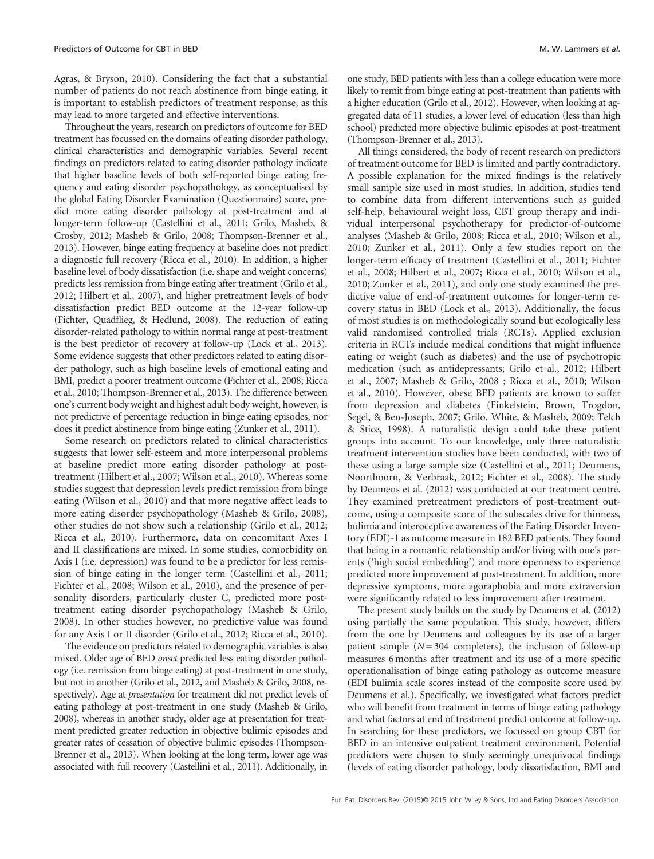Agras, & Bryson, 2010). Considering the fact that a substantial number of patients do not reach abstinence from binge eating, it is important to establish predictors of treatment response, as this may lead to more targeted and effective interventions.

Throughout the years, research on predictors of outcome for BED treatment has focussed on the domains of eating disorder pathology, clinical characteristics and demographic variables. Several recent findings on predictors related to eating disorder pathology indicate that higher baseline levels of both self-reported binge eating frequency and eating disorder psychopathology, as conceptualised by the global Eating Disorder Examination (Questionnaire) score, predict more eating disorder pathology at post-treatment and at longer-term follow-up (Castellini et al., 2011; Grilo, Masheb, & Crosby, 2012; Masheb & Grilo, 2008; Thompson-Brenner et al., 2013). However, binge eating frequency at baseline does not predict a diagnostic full recovery (Ricca et al., 2010). In addition, a higher baseline level of body dissatisfaction (i.e. shape and weight concerns) predicts less remission from binge eating after treatment (Grilo et al., 2012; Hilbert et al., 2007), and higher pretreatment levels of body dissatisfaction predict BED outcome at the 12-year follow-up (Fichter, Quadflieg, & Hedlund, 2008). The reduction of eating disorder-related pathology to within normal range at post-treatment is the best predictor of recovery at follow-up (Lock et al., 2013). Some evidence suggests that other predictors related to eating disorder pathology, such as high baseline levels of emotional eating and BMI, predict a poorer treatment outcome (Fichter et al., 2008; Ricca et al., 2010; Thompson-Brenner et al., 2013). The difference between one's current body weight and highest adult body weight, however, is not predictive of percentage reduction in binge eating episodes, nor does it predict abstinence from binge eating (Zunker et al., 2011).

Some research on predictors related to clinical characteristics suggests that lower self-esteem and more interpersonal problems at baseline predict more eating disorder pathology at posttreatment (Hilbert et al., 2007; Wilson et al., 2010). Whereas some studies suggest that depression levels predict remission from binge eating (Wilson et al., 2010) and that more negative affect leads to more eating disorder psychopathology (Masheb & Grilo, 2008), other studies do not show such a relationship (Grilo et al., 2012; Ricca et al., 2010). Furthermore, data on concomitant Axes I and II classifications are mixed. In some studies, comorbidity on Axis I (i.e. depression) was found to be a predictor for less remission of binge eating in the longer term (Castellini et al., 2011; Fichter et al., 2008; Wilson et al., 2010), and the presence of personality disorders, particularly cluster C, predicted more posttreatment eating disorder psychopathology (Masheb & Grilo, 2008). In other studies however, no predictive value was found for any Axis I or II disorder (Grilo et al., 2012; Ricca et al., 2010).

The evidence on predictors related to demographic variables is also mixed. Older age of BED onset predicted less eating disorder pathology (i.e. remission from binge eating) at post-treatment in one study, but not in another (Grilo et al., 2012, and Masheb & Grilo, 2008, respectively). Age at presentation for treatment did not predict levels of eating pathology at post-treatment in one study (Masheb & Grilo, 2008), whereas in another study, older age at presentation for treatment predicted greater reduction in objective bulimic episodes and greater rates of cessation of objective bulimic episodes (Thompson-Brenner et al., 2013). When looking at the long term, lower age was associated with full recovery (Castellini et al., 2011). Additionally, in

one study, BED patients with less than a college education were more likely to remit from binge eating at post-treatment than patients with a higher education (Grilo et al., 2012). However, when looking at aggregated data of 11 studies, a lower level of education (less than high school) predicted more objective bulimic episodes at post-treatment (Thompson-Brenner et al., 2013).

All things considered, the body of recent research on predictors of treatment outcome for BED is limited and partly contradictory. A possible explanation for the mixed findings is the relatively small sample size used in most studies. In addition, studies tend to combine data from different interventions such as guided self-help, behavioural weight loss, CBT group therapy and individual interpersonal psychotherapy for predictor-of-outcome analyses (Masheb & Grilo, 2008; Ricca et al., 2010; Wilson et al., 2010; Zunker et al., 2011). Only a few studies report on the longer-term efficacy of treatment (Castellini et al., 2011; Fichter et al., 2008; Hilbert et al., 2007; Ricca et al., 2010; Wilson et al., 2010; Zunker et al., 2011), and only one study examined the predictive value of end-of-treatment outcomes for longer-term recovery status in BED (Lock et al., 2013). Additionally, the focus of most studies is on methodologically sound but ecologically less valid randomised controlled trials (RCTs). Applied exclusion criteria in RCTs include medical conditions that might influence eating or weight (such as diabetes) and the use of psychotropic medication (such as antidepressants; Grilo et al., 2012; Hilbert et al., 2007; Masheb & Grilo, 2008 ; Ricca et al., 2010; Wilson et al., 2010). However, obese BED patients are known to suffer from depression and diabetes (Finkelstein, Brown, Trogdon, Segel, & Ben-Joseph, 2007; Grilo, White, & Masheb, 2009; Telch & Stice, 1998). A naturalistic design could take these patient groups into account. To our knowledge, only three naturalistic treatment intervention studies have been conducted, with two of these using a large sample size (Castellini et al., 2011; Deumens, Noorthoorn, & Verbraak, 2012; Fichter et al., 2008). The study by Deumens et al. (2012) was conducted at our treatment centre. They examined pretreatment predictors of post-treatment outcome, using a composite score of the subscales drive for thinness, bulimia and interoceptive awareness of the Eating Disorder Inventory (EDI)-1 as outcome measure in 182 BED patients. They found that being in a romantic relationship and/or living with one's parents ('high social embedding') and more openness to experience predicted more improvement at post-treatment. In addition, more depressive symptoms, more agoraphobia and more extraversion were significantly related to less improvement after treatment.

The present study builds on the study by Deumens et al. (2012) using partially the same population. This study, however, differs from the one by Deumens and colleagues by its use of a larger patient sample  $(N = 304$  completers), the inclusion of follow-up measures 6 months after treatment and its use of a more specific operationalisation of binge eating pathology as outcome measure (EDI bulimia scale scores instead of the composite score used by Deumens et al.). Specifically, we investigated what factors predict who will benefit from treatment in terms of binge eating pathology and what factors at end of treatment predict outcome at follow-up. In searching for these predictors, we focussed on group CBT for BED in an intensive outpatient treatment environment. Potential predictors were chosen to study seemingly unequivocal findings (levels of eating disorder pathology, body dissatisfaction, BMI and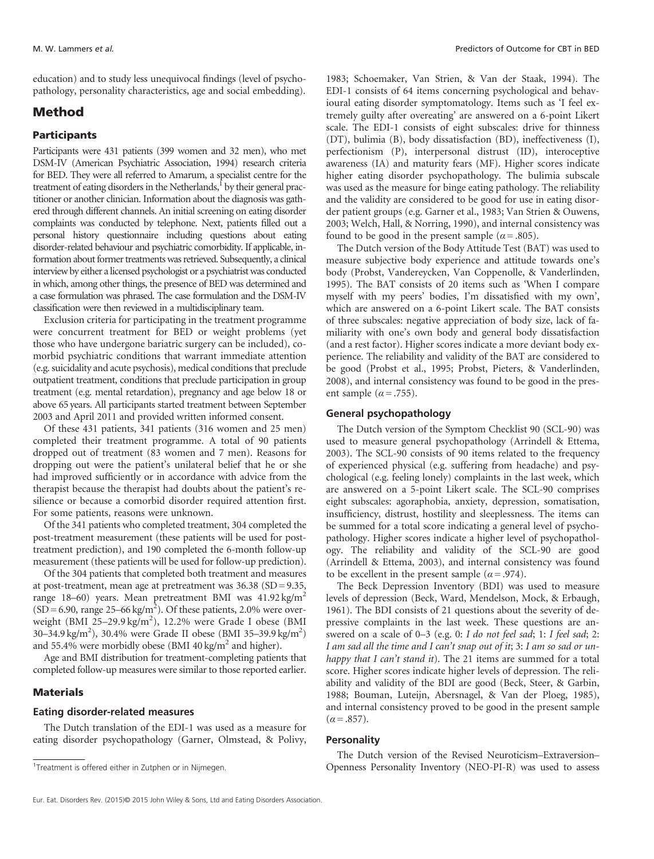education) and to study less unequivocal findings (level of psychopathology, personality characteristics, age and social embedding).

## Method

#### **Participants**

Participants were 431 patients (399 women and 32 men), who met DSM-IV (American Psychiatric Association, 1994) research criteria for BED. They were all referred to Amarum, a specialist centre for the treatment of eating disorders in the Netherlands, $^1$  by their general practitioner or another clinician. Information about the diagnosis was gathered through different channels. An initial screening on eating disorder complaints was conducted by telephone. Next, patients filled out a personal history questionnaire including questions about eating disorder-related behaviour and psychiatric comorbidity. If applicable, information about former treatments was retrieved. Subsequently, a clinical interview by either a licensed psychologist or a psychiatrist was conducted in which, among other things, the presence of BED was determined and a case formulation was phrased. The case formulation and the DSM-IV classification were then reviewed in a multidisciplinary team.

Exclusion criteria for participating in the treatment programme were concurrent treatment for BED or weight problems (yet those who have undergone bariatric surgery can be included), comorbid psychiatric conditions that warrant immediate attention (e.g. suicidality and acute psychosis), medical conditions that preclude outpatient treatment, conditions that preclude participation in group treatment (e.g. mental retardation), pregnancy and age below 18 or above 65 years. All participants started treatment between September 2003 and April 2011 and provided written informed consent.

Of these 431 patients, 341 patients (316 women and 25 men) completed their treatment programme. A total of 90 patients dropped out of treatment (83 women and 7 men). Reasons for dropping out were the patient's unilateral belief that he or she had improved sufficiently or in accordance with advice from the therapist because the therapist had doubts about the patient's resilience or because a comorbid disorder required attention first. For some patients, reasons were unknown.

Of the 341 patients who completed treatment, 304 completed the post-treatment measurement (these patients will be used for posttreatment prediction), and 190 completed the 6-month follow-up measurement (these patients will be used for follow-up prediction).

Of the 304 patients that completed both treatment and measures at post-treatment, mean age at pretreatment was 36.38 (SD = 9.35, range 18–60) years. Mean pretreatment BMI was  $41.92 \text{ kg/m}^2$  $(SD = 6.90$ , range 25–66 kg/m<sup>2</sup>). Of these patients, 2.0% were overweight (BMI 25-29.9 kg/m<sup>2</sup>), 12.2% were Grade I obese (BMI 30-34.9 kg/m<sup>2</sup>), 30.4% were Grade II obese (BMI 35-39.9 kg/m<sup>2</sup>) and 55.4% were morbidly obese (BMI 40 kg/m<sup>2</sup> and higher).

Age and BMI distribution for treatment-completing patients that completed follow-up measures were similar to those reported earlier.

#### **Materials**

#### Eating disorder-related measures

The Dutch translation of the EDI-1 was used as a measure for eating disorder psychopathology (Garner, Olmstead, & Polivy,

1983; Schoemaker, Van Strien, & Van der Staak, 1994). The EDI-1 consists of 64 items concerning psychological and behavioural eating disorder symptomatology. Items such as 'I feel extremely guilty after overeating' are answered on a 6-point Likert scale. The EDI-1 consists of eight subscales: drive for thinness (DT), bulimia (B), body dissatisfaction (BD), ineffectiveness (I), perfectionism (P), interpersonal distrust (ID), interoceptive awareness (IA) and maturity fears (MF). Higher scores indicate higher eating disorder psychopathology. The bulimia subscale was used as the measure for binge eating pathology. The reliability and the validity are considered to be good for use in eating disorder patient groups (e.g. Garner et al., 1983; Van Strien & Ouwens, 2003; Welch, Hall, & Norring, 1990), and internal consistency was found to be good in the present sample ( $\alpha$  = .805).

The Dutch version of the Body Attitude Test (BAT) was used to measure subjective body experience and attitude towards one's body (Probst, Vandereycken, Van Coppenolle, & Vanderlinden, 1995). The BAT consists of 20 items such as 'When I compare myself with my peers' bodies, I'm dissatisfied with my own', which are answered on a 6-point Likert scale. The BAT consists of three subscales: negative appreciation of body size, lack of familiarity with one's own body and general body dissatisfaction (and a rest factor). Higher scores indicate a more deviant body experience. The reliability and validity of the BAT are considered to be good (Probst et al., 1995; Probst, Pieters, & Vanderlinden, 2008), and internal consistency was found to be good in the present sample ( $\alpha$  = .755).

#### General psychopathology

The Dutch version of the Symptom Checklist 90 (SCL-90) was used to measure general psychopathology (Arrindell & Ettema, 2003). The SCL-90 consists of 90 items related to the frequency of experienced physical (e.g. suffering from headache) and psychological (e.g. feeling lonely) complaints in the last week, which are answered on a 5-point Likert scale. The SCL-90 comprises eight subscales: agoraphobia, anxiety, depression, somatisation, insufficiency, distrust, hostility and sleeplessness. The items can be summed for a total score indicating a general level of psychopathology. Higher scores indicate a higher level of psychopathology. The reliability and validity of the SCL-90 are good (Arrindell & Ettema, 2003), and internal consistency was found to be excellent in the present sample ( $\alpha$  = .974).

The Beck Depression Inventory (BDI) was used to measure levels of depression (Beck, Ward, Mendelson, Mock, & Erbaugh, 1961). The BDI consists of 21 questions about the severity of depressive complaints in the last week. These questions are answered on a scale of 0-3 (e.g. 0: I do not feel sad; 1: I feel sad; 2: I am sad all the time and I can't snap out of it; 3: I am so sad or unhappy that I can't stand it). The 21 items are summed for a total score. Higher scores indicate higher levels of depression. The reliability and validity of the BDI are good (Beck, Steer, & Garbin, 1988; Bouman, Luteijn, Abersnagel, & Van der Ploeg, 1985), and internal consistency proved to be good in the present sample  $(\alpha = .857)$ .

#### **Personality**

The Dutch version of the Revised Neuroticism–Extraversion– Openness Personality Inventory (NEO-PI-R) was used to assess <sup>1</sup>

<sup>&</sup>lt;sup>1</sup>Treatment is offered either in Zutphen or in Nijmegen.

Eur. Eat. Disorders Rev. (2015)© 2015 John Wiley & Sons, Ltd and Eating Disorders Association.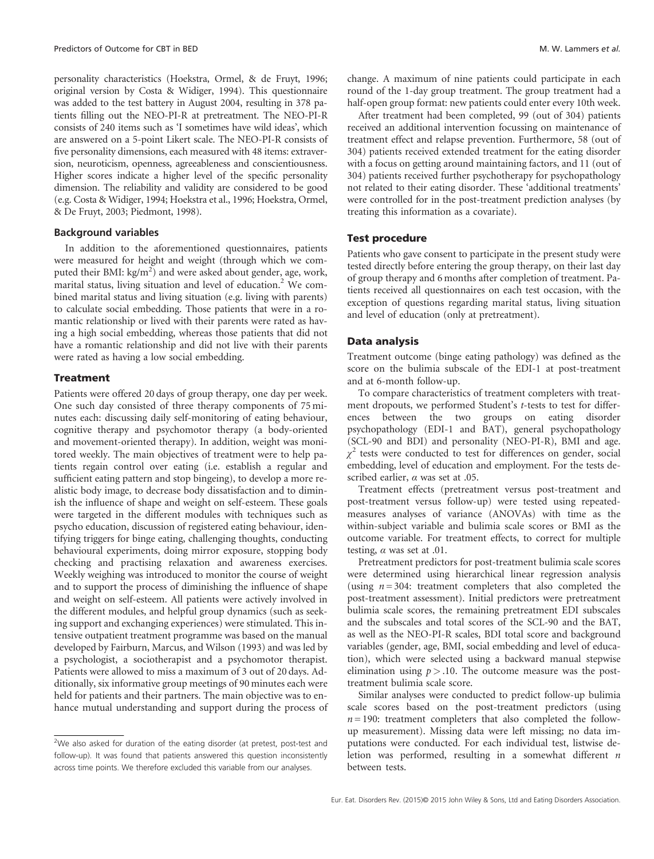personality characteristics (Hoekstra, Ormel, & de Fruyt, 1996; original version by Costa & Widiger, 1994). This questionnaire was added to the test battery in August 2004, resulting in 378 patients filling out the NEO-PI-R at pretreatment. The NEO-PI-R consists of 240 items such as 'I sometimes have wild ideas', which are answered on a 5-point Likert scale. The NEO-PI-R consists of five personality dimensions, each measured with 48 items: extraversion, neuroticism, openness, agreeableness and conscientiousness. Higher scores indicate a higher level of the specific personality dimension. The reliability and validity are considered to be good (e.g. Costa & Widiger, 1994; Hoekstra et al., 1996; Hoekstra, Ormel, & De Fruyt, 2003; Piedmont, 1998).

#### Background variables

In addition to the aforementioned questionnaires, patients were measured for height and weight (through which we computed their BMI:  $\text{kg/m}^2$ ) and were asked about gender, age, work, marital status, living situation and level of education.<sup>2</sup> We combined marital status and living situation (e.g. living with parents) to calculate social embedding. Those patients that were in a romantic relationship or lived with their parents were rated as having a high social embedding, whereas those patients that did not have a romantic relationship and did not live with their parents were rated as having a low social embedding.

#### **Treatment**

Patients were offered 20 days of group therapy, one day per week. One such day consisted of three therapy components of 75 minutes each: discussing daily self-monitoring of eating behaviour, cognitive therapy and psychomotor therapy (a body-oriented and movement-oriented therapy). In addition, weight was monitored weekly. The main objectives of treatment were to help patients regain control over eating (i.e. establish a regular and sufficient eating pattern and stop bingeing), to develop a more realistic body image, to decrease body dissatisfaction and to diminish the influence of shape and weight on self-esteem. These goals were targeted in the different modules with techniques such as psycho education, discussion of registered eating behaviour, identifying triggers for binge eating, challenging thoughts, conducting behavioural experiments, doing mirror exposure, stopping body checking and practising relaxation and awareness exercises. Weekly weighing was introduced to monitor the course of weight and to support the process of diminishing the influence of shape and weight on self-esteem. All patients were actively involved in the different modules, and helpful group dynamics (such as seeking support and exchanging experiences) were stimulated. This intensive outpatient treatment programme was based on the manual developed by Fairburn, Marcus, and Wilson (1993) and was led by a psychologist, a sociotherapist and a psychomotor therapist. Patients were allowed to miss a maximum of 3 out of 20 days. Additionally, six informative group meetings of 90 minutes each were held for patients and their partners. The main objective was to enhance mutual understanding and support during the process of

<sup>2</sup>We also asked for duration of the eating disorder (at pretest, post-test and follow-up). It was found that patients answered this question inconsistently across time points. We therefore excluded this variable from our analyses.

change. A maximum of nine patients could participate in each round of the 1-day group treatment. The group treatment had a half-open group format: new patients could enter every 10th week.

After treatment had been completed, 99 (out of 304) patients received an additional intervention focussing on maintenance of treatment effect and relapse prevention. Furthermore, 58 (out of 304) patients received extended treatment for the eating disorder with a focus on getting around maintaining factors, and 11 (out of 304) patients received further psychotherapy for psychopathology not related to their eating disorder. These 'additional treatments' were controlled for in the post-treatment prediction analyses (by treating this information as a covariate).

#### Test procedure

Patients who gave consent to participate in the present study were tested directly before entering the group therapy, on their last day of group therapy and 6 months after completion of treatment. Patients received all questionnaires on each test occasion, with the exception of questions regarding marital status, living situation and level of education (only at pretreatment).

#### Data analysis

Treatment outcome (binge eating pathology) was defined as the score on the bulimia subscale of the EDI-1 at post-treatment and at 6-month follow-up.

To compare characteristics of treatment completers with treatment dropouts, we performed Student's t-tests to test for differences between the two groups on eating disorder psychopathology (EDI-1 and BAT), general psychopathology (SCL-90 and BDI) and personality (NEO-PI-R), BMI and age.  $\chi^2$  tests were conducted to test for differences on gender, social embedding, level of education and employment. For the tests described earlier,  $\alpha$  was set at .05.

Treatment effects (pretreatment versus post-treatment and post-treatment versus follow-up) were tested using repeatedmeasures analyses of variance (ANOVAs) with time as the within-subject variable and bulimia scale scores or BMI as the outcome variable. For treatment effects, to correct for multiple testing,  $\alpha$  was set at .01.

Pretreatment predictors for post-treatment bulimia scale scores were determined using hierarchical linear regression analysis (using  $n = 304$ : treatment completers that also completed the post-treatment assessment). Initial predictors were pretreatment bulimia scale scores, the remaining pretreatment EDI subscales and the subscales and total scores of the SCL-90 and the BAT, as well as the NEO-PI-R scales, BDI total score and background variables (gender, age, BMI, social embedding and level of education), which were selected using a backward manual stepwise elimination using  $p > 0.10$ . The outcome measure was the posttreatment bulimia scale score.

Similar analyses were conducted to predict follow-up bulimia scale scores based on the post-treatment predictors (using  $n = 190$ : treatment completers that also completed the followup measurement). Missing data were left missing; no data imputations were conducted. For each individual test, listwise deletion was performed, resulting in a somewhat different  $n$ between tests.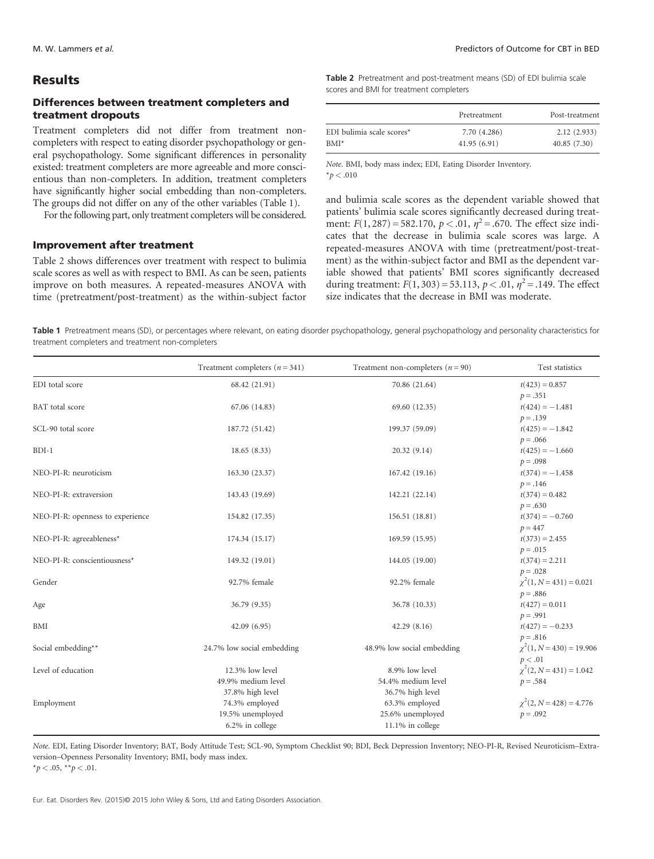## **Results**

# Differences between treatment completers and treatment dropouts

Treatment completers did not differ from treatment noncompleters with respect to eating disorder psychopathology or general psychopathology. Some significant differences in personality existed: treatment completers are more agreeable and more conscientious than non-completers. In addition, treatment completers have significantly higher social embedding than non-completers. The groups did not differ on any of the other variables (Table 1).

For the following part, only treatment completers will be considered.

### Improvement after treatment

Table 2 shows differences over treatment with respect to bulimia scale scores as well as with respect to BMI. As can be seen, patients improve on both measures. A repeated-measures ANOVA with time (pretreatment/post-treatment) as the within-subject factor

Table 2 Pretreatment and post-treatment means (SD) of EDI bulimia scale scores and BMI for treatment completers

|                           | Pretreatment | Post-treatment |  |
|---------------------------|--------------|----------------|--|
| EDI bulimia scale scores* | 7.70 (4.286) | 2.12(2.933)    |  |
| $BMI^*$                   | 41.95(6.91)  | 40.85(7.30)    |  |

Note. BMI, body mass index; EDI, Eating Disorder Inventory.  $*_{\bar{p}} < .010$ 

and bulimia scale scores as the dependent variable showed that patients' bulimia scale scores significantly decreased during treatment:  $F(1, 287) = 582.170$ ,  $p < .01$ ,  $\eta^2 = .670$ . The effect size indicates that the decrease in bulimia scale scores was large. A repeated-measures ANOVA with time (pretreatment/post-treatment) as the within-subject factor and BMI as the dependent variable showed that patients' BMI scores significantly decreased during treatment:  $F(1, 303) = 53.113$ ,  $p < .01$ ,  $\eta^2 = .149$ . The effect size indicates that the decrease in BMI was moderate.

Table 1 Pretreatment means (SD), or percentages where relevant, on eating disorder psychopathology, general psychopathology and personality characteristics for treatment completers and treatment non-completers

|                                  | Treatment completers $(n = 341)$ | Treatment non-completers $(n = 90)$ | Test statistics              |
|----------------------------------|----------------------------------|-------------------------------------|------------------------------|
| EDI total score                  | 68.42 (21.91)                    | 70.86 (21.64)                       | $t(423) = 0.857$             |
|                                  |                                  |                                     | $p = .351$                   |
| BAT total score                  | 67.06 (14.83)                    | 69.60 (12.35)                       | $t(424) = -1.481$            |
|                                  |                                  |                                     | $p = .139$                   |
| SCL-90 total score               | 187.72 (51.42)                   | 199.37 (59.09)                      | $t(425) = -1.842$            |
|                                  |                                  |                                     | $p = .066$                   |
| $BDI-1$                          | 18.65(8.33)                      | 20.32(9.14)                         | $t(425) = -1.660$            |
|                                  |                                  |                                     | $p = .098$                   |
| NEO-PI-R: neuroticism            | 163.30 (23.37)                   | 167.42 (19.16)                      | $t(374) = -1.458$            |
|                                  |                                  |                                     | $p = .146$                   |
| NEO-PI-R: extraversion           | 143.43 (19.69)                   | 142.21 (22.14)                      | $t(374) = 0.482$             |
|                                  |                                  |                                     | $p = .630$                   |
| NEO-PI-R: openness to experience | 154.82 (17.35)                   | 156.51 (18.81)                      | $t(374) = -0.760$            |
|                                  |                                  |                                     | $p = 447$                    |
| NEO-PI-R: agreeableness*         | 174.34 (15.17)                   | 169.59 (15.95)                      | $t(373) = 2.455$             |
|                                  |                                  |                                     | $p = .015$                   |
| NEO-PI-R: conscientiousness*     | 149.32 (19.01)                   | 144.05 (19.00)                      | $t(374) = 2.211$             |
|                                  |                                  |                                     | $p = .028$                   |
| Gender                           | 92.7% female                     | 92.2% female                        | $\chi^2(1, N=431) = 0.021$   |
|                                  |                                  |                                     | $p = .886$                   |
| Age                              | 36.79 (9.35)                     | 36.78 (10.33)                       | $t(427) = 0.011$             |
|                                  |                                  |                                     | $p = .991$                   |
| BMI                              | 42.09 (6.95)                     | 42.29(8.16)                         | $t(427) = -0.233$            |
|                                  |                                  |                                     | $p = .816$                   |
| Social embedding**               | 24.7% low social embedding       | 48.9% low social embedding          | $\chi^2(1, N=430) = 19.906$  |
|                                  |                                  |                                     | p < .01                      |
| Level of education               | 12.3% low level                  | 8.9% low level                      | $\chi^2(2, N=431) = 1.042$   |
|                                  | 49.9% medium level               | 54.4% medium level                  | $p = .584$                   |
|                                  | 37.8% high level                 | 36.7% high level                    |                              |
| Employment                       | 74.3% employed                   | 63.3% employed                      | $\chi^2(2, N = 428) = 4.776$ |
|                                  | 19.5% unemployed                 | 25.6% unemployed                    | $p = .092$                   |
|                                  | 6.2% in college                  | 11.1% in college                    |                              |

Note. EDI, Eating Disorder Inventory; BAT, Body Attitude Test; SCL-90, Symptom Checklist 90; BDI, Beck Depression Inventory; NEO-PI-R, Revised Neuroticism–Extraversion–Openness Personality Inventory; BMI, body mass index.

 $*_{p} < .05, **_{p} < .01.$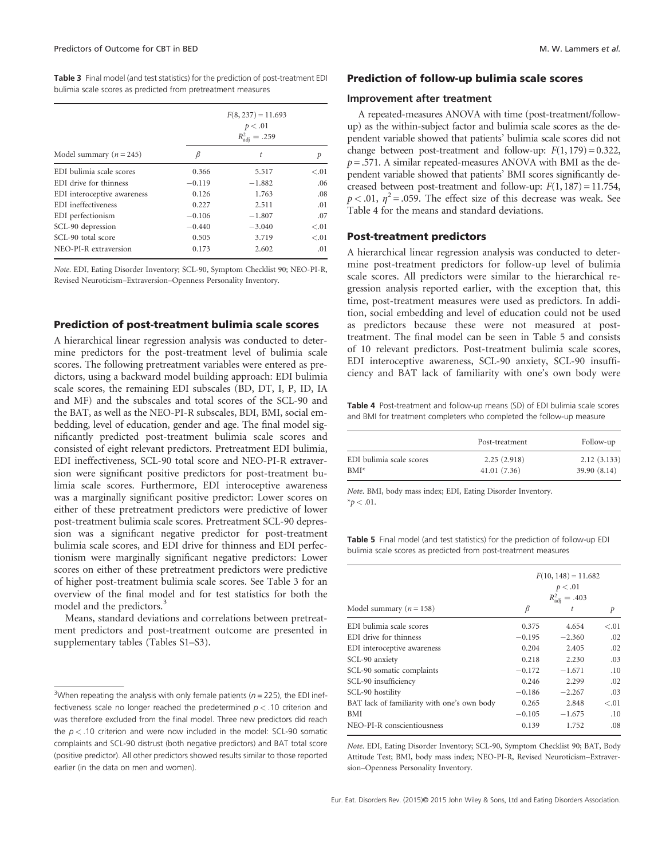Table 3 Final model (and test statistics) for the prediction of post-treatment EDI bulimia scale scores as predicted from pretreatment measures

|                             | $F(8, 237) = 11.693$<br>p < .01<br>$R_{\rm adi}^2 = .259$ |          |        |  |
|-----------------------------|-----------------------------------------------------------|----------|--------|--|
| Model summary ( $n = 245$ ) | B                                                         | t        | р      |  |
| EDI bulimia scale scores    | 0.366                                                     | 5.517    | $-.01$ |  |
| EDI drive for thinness      | $-0.119$                                                  | $-1.882$ | .06    |  |
| EDI interoceptive awareness | 0.126                                                     | 1.763    | .08    |  |
| EDI ineffectiveness         | 0.227                                                     | 2.511    | .01    |  |
| EDI perfectionism           | $-0.106$                                                  | $-1.807$ | .07    |  |
| SCL-90 depression           | $-0.440$                                                  | $-3.040$ | < 0.01 |  |
| SCL-90 total score          | 0.505                                                     | 3.719    | $-.01$ |  |
| NEO-PI-R extraversion       | 0.173                                                     | 2.602    | .01    |  |

Note. EDI, Eating Disorder Inventory; SCL-90, Symptom Checklist 90; NEO-PI-R, Revised Neuroticism–Extraversion–Openness Personality Inventory.

#### Prediction of post-treatment bulimia scale scores

A hierarchical linear regression analysis was conducted to determine predictors for the post-treatment level of bulimia scale scores. The following pretreatment variables were entered as predictors, using a backward model building approach: EDI bulimia scale scores, the remaining EDI subscales (BD, DT, I, P, ID, IA and MF) and the subscales and total scores of the SCL-90 and the BAT, as well as the NEO-PI-R subscales, BDI, BMI, social embedding, level of education, gender and age. The final model significantly predicted post-treatment bulimia scale scores and consisted of eight relevant predictors. Pretreatment EDI bulimia, EDI ineffectiveness, SCL-90 total score and NEO-PI-R extraversion were significant positive predictors for post-treatment bulimia scale scores. Furthermore, EDI interoceptive awareness was a marginally significant positive predictor: Lower scores on either of these pretreatment predictors were predictive of lower post-treatment bulimia scale scores. Pretreatment SCL-90 depression was a significant negative predictor for post-treatment bulimia scale scores, and EDI drive for thinness and EDI perfectionism were marginally significant negative predictors: Lower scores on either of these pretreatment predictors were predictive of higher post-treatment bulimia scale scores. See Table 3 for an overview of the final model and for test statistics for both the model and the predictors.<sup>3</sup>

Means, standard deviations and correlations between pretreatment predictors and post-treatment outcome are presented in supplementary tables (Tables S1–S3).

#### Prediction of follow-up bulimia scale scores

#### Improvement after treatment

A repeated-measures ANOVA with time (post-treatment/followup) as the within-subject factor and bulimia scale scores as the dependent variable showed that patients' bulimia scale scores did not change between post-treatment and follow-up:  $F(1, 179) = 0.322$ ,  $p = .571$ . A similar repeated-measures ANOVA with BMI as the dependent variable showed that patients' BMI scores significantly decreased between post-treatment and follow-up:  $F(1, 187) = 11.754$ ,  $p < .01$ ,  $\eta^2 = .059$ . The effect size of this decrease was weak. See Table 4 for the means and standard deviations.

#### Post-treatment predictors

A hierarchical linear regression analysis was conducted to determine post-treatment predictors for follow-up level of bulimia scale scores. All predictors were similar to the hierarchical regression analysis reported earlier, with the exception that, this time, post-treatment measures were used as predictors. In addition, social embedding and level of education could not be used as predictors because these were not measured at posttreatment. The final model can be seen in Table 5 and consists of 10 relevant predictors. Post-treatment bulimia scale scores, EDI interoceptive awareness, SCL-90 anxiety, SCL-90 insufficiency and BAT lack of familiarity with one's own body were

Table 4 Post-treatment and follow-up means (SD) of EDI bulimia scale scores and BMI for treatment completers who completed the follow-up measure

|                          | Post-treatment | Follow-up    |
|--------------------------|----------------|--------------|
| EDI bulimia scale scores | 2.25(2.918)    | 2.12(3.133)  |
| $BMI*$                   | 41.01(7.36)    | 39.90 (8.14) |

Note. BMI, body mass index; EDI, Eating Disorder Inventory.  $*_{p}$  < .01.

Table 5 Final model (and test statistics) for the prediction of follow-up EDI bulimia scale scores as predicted from post-treatment measures

|                                             | $F(10, 148) = 11.682$<br>p < .01 |                        |        |
|---------------------------------------------|----------------------------------|------------------------|--------|
|                                             |                                  | $R_{\rm adi}^2 = .403$ |        |
| Model summary ( $n = 158$ )                 | β                                | t                      | р      |
| EDI bulimia scale scores                    | 0.375                            | 4.654                  | $-.01$ |
| EDI drive for thinness                      | $-0.195$                         | $-2.360$               | .02    |
| EDI interoceptive awareness                 | 0.204                            | 2.405                  | .02    |
| SCL-90 anxiety                              | 0.218                            | 2.230                  | .03    |
| SCL-90 somatic complaints                   | $-0.172$                         | $-1.671$               | .10    |
| SCL-90 insufficiency                        | 0.246                            | 2.299                  | .02    |
| SCL-90 hostility                            | $-0.186$                         | $-2.267$               | .03    |
| BAT lack of familiarity with one's own body | 0.265                            | 2.848                  | $-.01$ |
| BMI                                         | $-0.105$                         | $-1.675$               | .10    |
| NEO-PI-R conscientiousness                  | 0.139                            | 1.752                  | .08    |

Note. EDI, Eating Disorder Inventory; SCL-90, Symptom Checklist 90; BAT, Body Attitude Test; BMI, body mass index; NEO-PI-R, Revised Neuroticism–Extraversion–Openness Personality Inventory.

<sup>&</sup>lt;sup>3</sup>When repeating the analysis with only female patients ( $n = 225$ ), the EDI ineffectiveness scale no longer reached the predetermined  $p < 0.10$  criterion and was therefore excluded from the final model. Three new predictors did reach the  $p < 0.10$  criterion and were now included in the model: SCL-90 somatic complaints and SCL-90 distrust (both negative predictors) and BAT total score (positive predictor). All other predictors showed results similar to those reported earlier (in the data on men and women).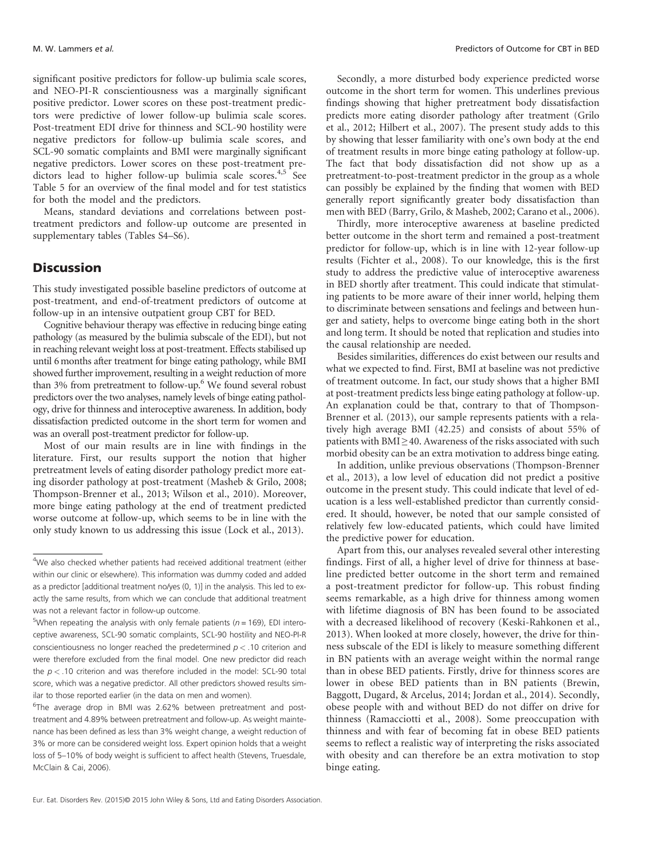significant positive predictors for follow-up bulimia scale scores, and NEO-PI-R conscientiousness was a marginally significant positive predictor. Lower scores on these post-treatment predictors were predictive of lower follow-up bulimia scale scores. Post-treatment EDI drive for thinness and SCL-90 hostility were negative predictors for follow-up bulimia scale scores, and SCL-90 somatic complaints and BMI were marginally significant negative predictors. Lower scores on these post-treatment predictors lead to higher follow-up bulimia scale scores.<sup>4,5</sup> See Table 5 for an overview of the final model and for test statistics for both the model and the predictors.

Means, standard deviations and correlations between posttreatment predictors and follow-up outcome are presented in supplementary tables (Tables S4–S6).

# **Discussion**

This study investigated possible baseline predictors of outcome at post-treatment, and end-of-treatment predictors of outcome at follow-up in an intensive outpatient group CBT for BED.

Cognitive behaviour therapy was effective in reducing binge eating pathology (as measured by the bulimia subscale of the EDI), but not in reaching relevant weight loss at post-treatment. Effects stabilised up until 6months after treatment for binge eating pathology, while BMI showed further improvement, resulting in a weight reduction of more than 3% from pretreatment to follow-up.<sup>6</sup> We found several robust predictors over the two analyses, namely levels of binge eating pathology, drive for thinness and interoceptive awareness. In addition, body dissatisfaction predicted outcome in the short term for women and was an overall post-treatment predictor for follow-up.

Most of our main results are in line with findings in the literature. First, our results support the notion that higher pretreatment levels of eating disorder pathology predict more eating disorder pathology at post-treatment (Masheb & Grilo, 2008; Thompson-Brenner et al., 2013; Wilson et al., 2010). Moreover, more binge eating pathology at the end of treatment predicted worse outcome at follow-up, which seems to be in line with the only study known to us addressing this issue (Lock et al., 2013).

Secondly, a more disturbed body experience predicted worse outcome in the short term for women. This underlines previous findings showing that higher pretreatment body dissatisfaction predicts more eating disorder pathology after treatment (Grilo et al., 2012; Hilbert et al., 2007). The present study adds to this by showing that lesser familiarity with one's own body at the end of treatment results in more binge eating pathology at follow-up. The fact that body dissatisfaction did not show up as a pretreatment-to-post-treatment predictor in the group as a whole can possibly be explained by the finding that women with BED generally report significantly greater body dissatisfaction than men with BED (Barry, Grilo, & Masheb, 2002; Carano et al., 2006).

Thirdly, more interoceptive awareness at baseline predicted better outcome in the short term and remained a post-treatment predictor for follow-up, which is in line with 12-year follow-up results (Fichter et al., 2008). To our knowledge, this is the first study to address the predictive value of interoceptive awareness in BED shortly after treatment. This could indicate that stimulating patients to be more aware of their inner world, helping them to discriminate between sensations and feelings and between hunger and satiety, helps to overcome binge eating both in the short and long term. It should be noted that replication and studies into the causal relationship are needed.

Besides similarities, differences do exist between our results and what we expected to find. First, BMI at baseline was not predictive of treatment outcome. In fact, our study shows that a higher BMI at post-treatment predicts less binge eating pathology at follow-up. An explanation could be that, contrary to that of Thompson-Brenner et al. (2013), our sample represents patients with a relatively high average BMI (42.25) and consists of about 55% of patients with  $BMI \geq 40$ . Awareness of the risks associated with such morbid obesity can be an extra motivation to address binge eating.

In addition, unlike previous observations (Thompson-Brenner et al., 2013), a low level of education did not predict a positive outcome in the present study. This could indicate that level of education is a less well-established predictor than currently considered. It should, however, be noted that our sample consisted of relatively few low-educated patients, which could have limited the predictive power for education.

Apart from this, our analyses revealed several other interesting findings. First of all, a higher level of drive for thinness at baseline predicted better outcome in the short term and remained a post-treatment predictor for follow-up. This robust finding seems remarkable, as a high drive for thinness among women with lifetime diagnosis of BN has been found to be associated with a decreased likelihood of recovery (Keski-Rahkonen et al., 2013). When looked at more closely, however, the drive for thinness subscale of the EDI is likely to measure something different in BN patients with an average weight within the normal range than in obese BED patients. Firstly, drive for thinness scores are lower in obese BED patients than in BN patients (Brewin, Baggott, Dugard, & Arcelus, 2014; Jordan et al., 2014). Secondly, obese people with and without BED do not differ on drive for thinness (Ramacciotti et al., 2008). Some preoccupation with thinness and with fear of becoming fat in obese BED patients seems to reflect a realistic way of interpreting the risks associated with obesity and can therefore be an extra motivation to stop binge eating.

<sup>&</sup>lt;sup>4</sup>We also checked whether patients had received additional treatment (either within our clinic or elsewhere). This information was dummy coded and added as a predictor [additional treatment no/yes (0, 1)] in the analysis. This led to exactly the same results, from which we can conclude that additional treatment was not a relevant factor in follow-up outcome.

<sup>&</sup>lt;sup>5</sup>When repeating the analysis with only female patients ( $n = 169$ ), EDI interoceptive awareness, SCL-90 somatic complaints, SCL-90 hostility and NEO-PI-R conscientiousness no longer reached the predetermined  $p < 0.10$  criterion and were therefore excluded from the final model. One new predictor did reach the  $p < 0.10$  criterion and was therefore included in the model: SCL-90 total score, which was a negative predictor. All other predictors showed results similar to those reported earlier (in the data on men and women).

<sup>&</sup>lt;sup>6</sup>The average drop in BMI was 2.62% between pretreatment and posttreatment and 4.89% between pretreatment and follow-up. As weight maintenance has been defined as less than 3% weight change, a weight reduction of 3% or more can be considered weight loss. Expert opinion holds that a weight loss of 5–10% of body weight is sufficient to affect health (Stevens, Truesdale, McClain & Cai, 2006).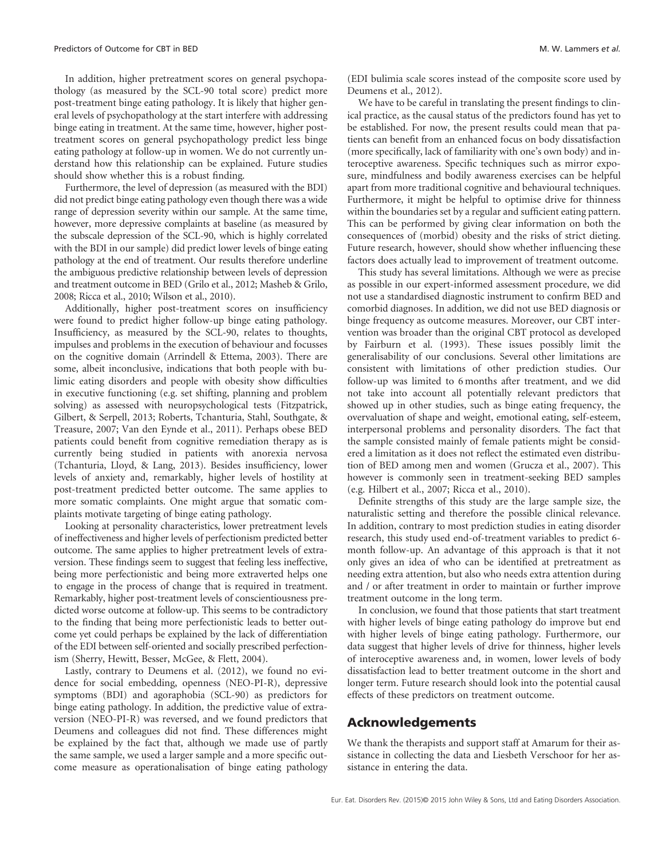In addition, higher pretreatment scores on general psychopathology (as measured by the SCL-90 total score) predict more post-treatment binge eating pathology. It is likely that higher general levels of psychopathology at the start interfere with addressing binge eating in treatment. At the same time, however, higher posttreatment scores on general psychopathology predict less binge eating pathology at follow-up in women. We do not currently understand how this relationship can be explained. Future studies should show whether this is a robust finding.

Furthermore, the level of depression (as measured with the BDI) did not predict binge eating pathology even though there was a wide range of depression severity within our sample. At the same time, however, more depressive complaints at baseline (as measured by the subscale depression of the SCL-90, which is highly correlated with the BDI in our sample) did predict lower levels of binge eating pathology at the end of treatment. Our results therefore underline the ambiguous predictive relationship between levels of depression and treatment outcome in BED (Grilo et al., 2012; Masheb & Grilo, 2008; Ricca et al., 2010; Wilson et al., 2010).

Additionally, higher post-treatment scores on insufficiency were found to predict higher follow-up binge eating pathology. Insufficiency, as measured by the SCL-90, relates to thoughts, impulses and problems in the execution of behaviour and focusses on the cognitive domain (Arrindell & Ettema, 2003). There are some, albeit inconclusive, indications that both people with bulimic eating disorders and people with obesity show difficulties in executive functioning (e.g. set shifting, planning and problem solving) as assessed with neuropsychological tests (Fitzpatrick, Gilbert, & Serpell, 2013; Roberts, Tchanturia, Stahl, Southgate, & Treasure, 2007; Van den Eynde et al., 2011). Perhaps obese BED patients could benefit from cognitive remediation therapy as is currently being studied in patients with anorexia nervosa (Tchanturia, Lloyd, & Lang, 2013). Besides insufficiency, lower levels of anxiety and, remarkably, higher levels of hostility at post-treatment predicted better outcome. The same applies to more somatic complaints. One might argue that somatic complaints motivate targeting of binge eating pathology.

Looking at personality characteristics, lower pretreatment levels of ineffectiveness and higher levels of perfectionism predicted better outcome. The same applies to higher pretreatment levels of extraversion. These findings seem to suggest that feeling less ineffective, being more perfectionistic and being more extraverted helps one to engage in the process of change that is required in treatment. Remarkably, higher post-treatment levels of conscientiousness predicted worse outcome at follow-up. This seems to be contradictory to the finding that being more perfectionistic leads to better outcome yet could perhaps be explained by the lack of differentiation of the EDI between self-oriented and socially prescribed perfectionism (Sherry, Hewitt, Besser, McGee, & Flett, 2004).

Lastly, contrary to Deumens et al. (2012), we found no evidence for social embedding, openness (NEO-PI-R), depressive symptoms (BDI) and agoraphobia (SCL-90) as predictors for binge eating pathology. In addition, the predictive value of extraversion (NEO-PI-R) was reversed, and we found predictors that Deumens and colleagues did not find. These differences might be explained by the fact that, although we made use of partly the same sample, we used a larger sample and a more specific outcome measure as operationalisation of binge eating pathology

(EDI bulimia scale scores instead of the composite score used by Deumens et al., 2012).

We have to be careful in translating the present findings to clinical practice, as the causal status of the predictors found has yet to be established. For now, the present results could mean that patients can benefit from an enhanced focus on body dissatisfaction (more specifically, lack of familiarity with one's own body) and interoceptive awareness. Specific techniques such as mirror exposure, mindfulness and bodily awareness exercises can be helpful apart from more traditional cognitive and behavioural techniques. Furthermore, it might be helpful to optimise drive for thinness within the boundaries set by a regular and sufficient eating pattern. This can be performed by giving clear information on both the consequences of (morbid) obesity and the risks of strict dieting. Future research, however, should show whether influencing these factors does actually lead to improvement of treatment outcome.

This study has several limitations. Although we were as precise as possible in our expert-informed assessment procedure, we did not use a standardised diagnostic instrument to confirm BED and comorbid diagnoses. In addition, we did not use BED diagnosis or binge frequency as outcome measures. Moreover, our CBT intervention was broader than the original CBT protocol as developed by Fairburn et al. (1993). These issues possibly limit the generalisability of our conclusions. Several other limitations are consistent with limitations of other prediction studies. Our follow-up was limited to 6 months after treatment, and we did not take into account all potentially relevant predictors that showed up in other studies, such as binge eating frequency, the overvaluation of shape and weight, emotional eating, self-esteem, interpersonal problems and personality disorders. The fact that the sample consisted mainly of female patients might be considered a limitation as it does not reflect the estimated even distribution of BED among men and women (Grucza et al., 2007). This however is commonly seen in treatment-seeking BED samples (e.g. Hilbert et al., 2007; Ricca et al., 2010).

Definite strengths of this study are the large sample size, the naturalistic setting and therefore the possible clinical relevance. In addition, contrary to most prediction studies in eating disorder research, this study used end-of-treatment variables to predict 6 month follow-up. An advantage of this approach is that it not only gives an idea of who can be identified at pretreatment as needing extra attention, but also who needs extra attention during and / or after treatment in order to maintain or further improve treatment outcome in the long term.

In conclusion, we found that those patients that start treatment with higher levels of binge eating pathology do improve but end with higher levels of binge eating pathology. Furthermore, our data suggest that higher levels of drive for thinness, higher levels of interoceptive awareness and, in women, lower levels of body dissatisfaction lead to better treatment outcome in the short and longer term. Future research should look into the potential causal effects of these predictors on treatment outcome.

# Acknowledgements

We thank the therapists and support staff at Amarum for their assistance in collecting the data and Liesbeth Verschoor for her assistance in entering the data.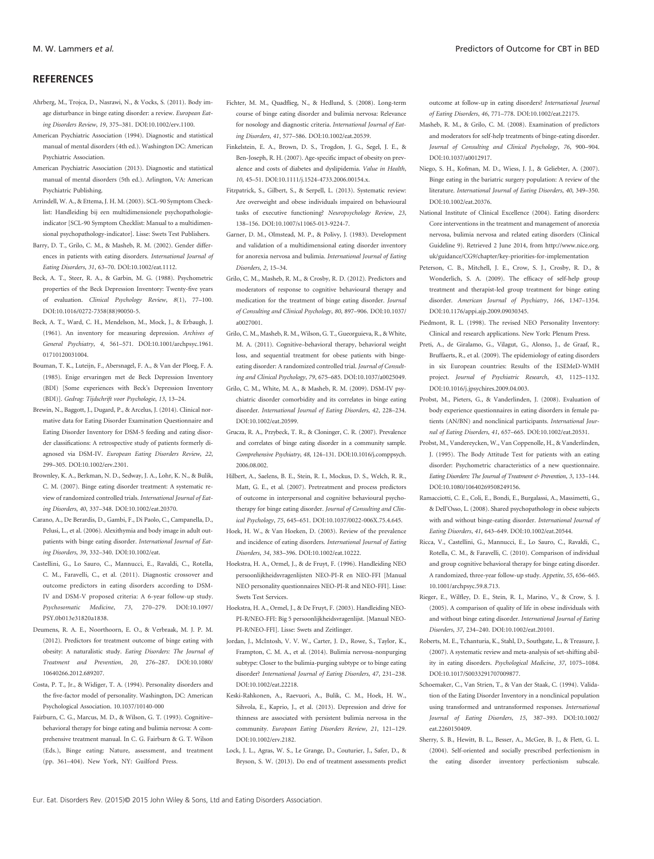#### **REFERENCES**

- Ahrberg, M., Trojca, D., Nasrawi, N., & Vocks, S. (2011). Body image disturbance in binge eating disorder: a review. European Eating Disorders Review, 19, 375–381. DOI:10.1002/erv.1100.
- American Psychiatric Association (1994). Diagnostic and statistical manual of mental disorders (4th ed.). Washington DC: American Psychiatric Association.
- American Psychiatric Association (2013). Diagnostic and statistical manual of mental disorders (5th ed.). Arlington, VA: American Psychiatric Publishing.
- Arrindell, W. A., & Ettema, J. H. M. (2003). SCL-90 Symptom Checklist: Handleiding bij een multidimensionele psychopathologieindicator [SCL-90 Symptom Checklist: Manual to a multidimensional psychopathology-indicator]. Lisse: Swets Test Publishers.
- Barry, D. T., Grilo, C. M., & Masheb, R. M. (2002). Gender differences in patients with eating disorders. International Journal of Eating Disorders, 31, 63–70. DOI:10.1002/eat.1112.
- Beck, A. T., Steer, R. A., & Garbin, M. G. (1988). Psychometric properties of the Beck Depression Inventory: Twenty-five years of evaluation. Clinical Psychology Review, 8(1), 77–100. DOI:10.1016/0272-7358(88)90050-5.
- Beck, A. T., Ward, C. H., Mendelson, M., Mock, J., & Erbaugh, J. (1961). An inventory for measuring depression. Archives of General Psychiatry, 4, 561–571. DOI:10.1001/archpsyc.1961. 01710120031004.
- Bouman, T. K., Luteijn, F., Abersnagel, F. A., & Van der Ploeg, F. A. (1985). Enige ervaringen met de Beck Depression Inventory (BDI) [Some experiences with Beck's Depression Inventory (BDI)]. Gedrag: Tijdschrift voor Psychologie, 13, 13–24.
- Brewin, N., Baggott, J., Dugard, P., & Arcelus, J. (2014). Clinical normative data for Eating Disorder Examination Questionnaire and Eating Disorder Inventory for DSM-5 feeding and eating disorder classifications: A retrospective study of patients formerly diagnosed via DSM-IV. European Eating Disorders Review, 22, 299–305. DOI:10.1002/erv.2301.
- Brownley, K. A., Berkman, N. D., Sedway, J. A., Lohr, K. N., & Bulik, C. M. (2007). Binge eating disorder treatment: A systematic review of randomized controlled trials. International Journal of Eating Disorders, 40, 337–348. DOI:10.1002/eat.20370.
- Carano, A., De Berardis, D., Gambi, F., Di Paolo, C., Campanella, D., Pelusi, L., et al. (2006). Alexithymia and body image in adult outpatients with binge eating disorder. International Journal of Eating Disorders, 39, 332–340. DOI:10.1002/eat.
- Castellini, G., Lo Sauro, C., Mannucci, E., Ravaldi, C., Rotella, C. M., Faravelli, C., et al. (2011). Diagnostic crossover and outcome predictors in eating disorders according to DSM-IV and DSM-V proposed criteria: A 6-year follow-up study. Psychosomatic Medicine, 73, 270–279. DOI:10.1097/ PSY.0b013e31820a1838.
- Deumens, R. A. E., Noorthoorn, E. O., & Verbraak, M. J. P. M. (2012). Predictors for treatment outcome of binge eating with obesity: A naturalistic study. Eating Disorders: The Journal of Treatment and Prevention, 20, 276–287. DOI:10.1080/ 10640266.2012.689207.
- Costa, P. T., Jr., & Widiger, T. A. (1994). Personality disorders and the five-factor model of personality. Washington, DC: American Psychological Association. 10.1037/10140-000
- Fairburn, C. G., Marcus, M. D., & Wilson, G. T. (1993). Cognitive– behavioral therapy for binge eating and bulimia nervosa: A comprehensive treatment manual. In C. G. Fairburn & G. T. Wilson (Eds.), Binge eating: Nature, assessment, and treatment (pp. 361–404). New York, NY: Guilford Press.
- Fichter, M. M., Quadflieg, N., & Hedlund, S. (2008). Long-term course of binge eating disorder and bulimia nervosa: Relevance for nosology and diagnostic criteria. International Journal of Eating Disorders, 41, 577–586. DOI:10.1002/eat.20539.
- Finkelstein, E. A., Brown, D. S., Trogdon, J. G., Segel, J. E., & Ben-Joseph, R. H. (2007). Age-specific impact of obesity on prevalence and costs of diabetes and dyslipidemia. Value in Health, 10, 45–51. DOI:10.1111/j.1524-4733.2006.00154.x.
- Fitzpatrick, S., Gilbert, S., & Serpell, L. (2013). Systematic review: Are overweight and obese individuals impaired on behavioural tasks of executive functioning? Neuropsychology Review, 23, 138–156. DOI:10.1007/s11065-013-9224-7.
- Garner, D. M., Olmstead, M. P., & Polivy, J. (1983). Development and validation of a multidimensional eating disorder inventory for anorexia nervosa and bulimia. International Journal of Eating Disorders, 2, 15–34.
- Grilo, C. M., Masheb, R. M., & Crosby, R. D. (2012). Predictors and moderators of response to cognitive behavioural therapy and medication for the treatment of binge eating disorder. Journal of Consulting and Clinical Psychology, 80, 897–906. DOI:10.1037/ a0027001.
- Grilo, C. M., Masheb, R. M., Wilson, G. T., Gueorguieva, R., & White, M. A. (2011). Cognitive–behavioral therapy, behavioral weight loss, and sequential treatment for obese patients with bingeeating disorder: A randomized controlled trial. Journal of Consulting and Clinical Psychology, 79, 675–685. DOI:10.1037/a0025049.
- Grilo, C. M., White, M. A., & Masheb, R. M. (2009). DSM-IV psychiatric disorder comorbidity and its correlates in binge eating disorder. International Journal of Eating Disorders, 42, 228–234. DOI:10.1002/eat.20599.
- Grucza, R. A., Przybeck, T. R., & Cloninger, C. R. (2007). Prevalence and correlates of binge eating disorder in a community sample. Comprehensive Psychiatry, 48, 124–131. DOI:10.1016/j.comppsych. 2006.08.002.
- Hilbert, A., Saelens, B. E., Stein, R. I., Mockus, D. S., Welch, R. R., Matt, G. E., et al. (2007). Pretreatment and process predictors of outcome in interpersonal and cognitive behavioural psychotherapy for binge eating disorder. Journal of Consulting and Clinical Psychology, 75, 645–651. DOI:10.1037/0022-006X.75.4.645.
- Hoek, H. W., & Van Hoeken, D. (2003). Review of the prevalence and incidence of eating disorders. International Journal of Eating Disorders, 34, 383–396. DOI:10.1002/eat.10222.
- Hoekstra, H. A., Ormel, J., & de Fruyt, F. (1996). Handleiding NEO persoonlijkheidsvragenlijsten NEO-PI-R en NEO-FFI [Manual NEO personality questionnaires NEO-PI-R and NEO-FFI]. Lisse: Swets Test Services.
- Hoekstra, H. A., Ormel, J., & De Fruyt, F. (2003). Handleiding NEO-PI-R/NEO-FFI: Big 5 persoonlijkheidsvragenlijst. [Manual NEO-PI-R/NEO-FFI]. Lisse: Swets and Zeitlinger.
- Jordan, J., McIntosh, V. V. W., Carter, J. D., Rowe, S., Taylor, K., Frampton, C. M. A., et al. (2014). Bulimia nervosa-nonpurging subtype: Closer to the bulimia-purging subtype or to binge eating disorder? International Journal of Eating Disorders, 47, 231–238. DOI:10.1002/eat.22218.
- Keski-Rahkonen, A., Raevuori, A., Bulik, C. M., Hoek, H. W., Sihvola, E., Kaprio, J., et al. (2013). Depression and drive for thinness are associated with persistent bulimia nervosa in the community. European Eating Disorders Review, 21, 121–129. DOI:10.1002/erv.2182.
- Lock, J. L., Agras, W. S., Le Grange, D., Couturier, J., Safer, D., & Bryson, S. W. (2013). Do end of treatment assessments predict

outcome at follow-up in eating disorders? International Journal of Eating Disorders, 46, 771–778. DOI:10.1002/eat.22175.

- Masheb, R. M., & Grilo, C. M. (2008). Examination of predictors and moderators for self-help treatments of binge-eating disorder. Journal of Consulting and Clinical Psychology, 76, 900–904. DOI:10.1037/a0012917.
- Niego, S. H., Kofman, M. D., Wiess, J. J., & Geliebter, A. (2007). Binge eating in the bariatric surgery population: A review of the literature. International Journal of Eating Disorders, 40, 349–350. DOI:10.1002/eat.20376
- National Institute of Clinical Excellence (2004). Eating disorders: Core interventions in the treatment and management of anorexia nervosa, bulimia nervosa and related eating disorders (Clinical Guideline 9). Retrieved 2 June 2014, from http://www.nice.org. uk/guidance/CG9/chapter/key-priorities-for-implementation
- Peterson, C. B., Mitchell, J. E., Crow, S. J., Crosby, R. D., & Wonderlich, S. A. (2009). The efficacy of self-help group treatment and therapist-led group treatment for binge eating disorder. American Journal of Psychiatry, 166, 1347–1354. DOI:10.1176/appi.ajp.2009.09030345.
- Piedmont, R. L. (1998). The revised NEO Personality Inventory: Clinical and research applications. New York: Plenum Press.
- Preti, A., de Giralamo, G., Vilagut, G., Alonso, J., de Graaf, R., Bruffaerts, R., et al. (2009). The epidemiology of eating disorders in six European countries: Results of the ESEMeD-WMH project. Journal of Psychiatric Research, 43, 1125–1132. DOI:10.1016/j.jpsychires.2009.04.003.
- Probst, M., Pieters, G., & Vanderlinden, J. (2008). Evaluation of body experience questionnaires in eating disorders in female patients (AN/BN) and nonclinical participants. International Journal of Eating Disorders, 41, 657–665. DOI:10.1002/eat.20531.
- Probst, M., Vandereycken, W., Van Coppenolle, H., & Vanderlinden, J. (1995). The Body Attitude Test for patients with an eating disorder: Psychometric characteristics of a new questionnaire. Eating Disorders: The Journal of Treatment & Prevention, 3, 133–144. DOI:10.1080/10640269508249156.
- Ramacciotti, C. E., Coli, E., Bondi, E., Burgalassi, A., Massimetti, G., & Dell'Osso, L. (2008). Shared psychopathology in obese subjects with and without binge-eating disorder. International Journal of Eating Disorders, 41, 643–649. DOI:10.1002/eat.20544.
- Ricca, V., Castellini, G., Mannucci, E., Lo Sauro, C., Ravaldi, C., Rotella, C. M., & Faravelli, C. (2010). Comparison of individual and group cognitive behavioral therapy for binge eating disorder. A randomized, three-year follow-up study. Appetite, 55, 656–665. 10.1001/archpsyc.59.8.713.
- Rieger, E., Wilfley, D. E., Stein, R. I., Marino, V., & Crow, S. J. (2005). A comparison of quality of life in obese individuals with and without binge eating disorder. International Journal of Eating Disorders, 37, 234–240. DOI:10.1002/eat.20101.
- Roberts, M. E., Tchanturia, K., Stahl, D., Southgate, L., & Treasure, J. (2007). A systematic review and meta-analysis of set-shifting ability in eating disorders. Psychological Medicine, 37, 1075–1084. DOI:10.1017/S0033291707009877.
- Schoemaker, C., Van Strien, T., & Van der Staak, C. (1994). Validation of the Eating Disorder Inventory in a nonclinical population using transformed and untransformed responses. International Journal of Eating Disorders, 15, 387–393. DOI:10.1002/ eat.2260150409.
- Sherry, S. B., Hewitt, B. L., Besser, A., McGee, B. J., & Flett, G. L. (2004). Self-oriented and socially prescribed perfectionism in the eating disorder inventory perfectionism subscale.